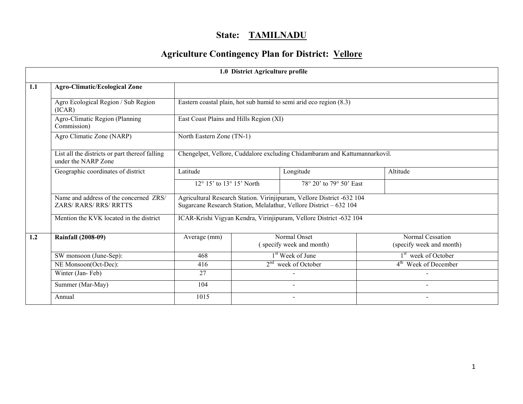# State: TAMILNADU

# Agriculture Contingency Plan for District: Vellore

|     | 1.0 District Agriculture profile                                        |                                                                            |                                                                                    |                                                                                                                                              |  |                                              |  |  |
|-----|-------------------------------------------------------------------------|----------------------------------------------------------------------------|------------------------------------------------------------------------------------|----------------------------------------------------------------------------------------------------------------------------------------------|--|----------------------------------------------|--|--|
| 1.1 | <b>Agro-Climatic/Ecological Zone</b>                                    |                                                                            |                                                                                    |                                                                                                                                              |  |                                              |  |  |
|     | Agro Ecological Region / Sub Region<br>(ICAR)                           | Eastern coastal plain, hot sub humid to semi arid eco region (8.3)         |                                                                                    |                                                                                                                                              |  |                                              |  |  |
|     | Agro-Climatic Region (Planning<br>Commission)                           | East Coast Plains and Hills Region (XI)                                    |                                                                                    |                                                                                                                                              |  |                                              |  |  |
|     | Agro Climatic Zone (NARP)                                               | North Eastern Zone (TN-1)                                                  |                                                                                    |                                                                                                                                              |  |                                              |  |  |
|     | List all the districts or part thereof falling<br>under the NARP Zone   | Chengelpet, Vellore, Cuddalore excluding Chidambaram and Kattumannarkovil. |                                                                                    |                                                                                                                                              |  |                                              |  |  |
|     | Geographic coordinates of district                                      | Latitude                                                                   | Longitude<br>$12^{\circ}$ 15' to $13^{\circ}$ 15' North<br>78° 20' to 79° 50' East |                                                                                                                                              |  | Altitude                                     |  |  |
|     |                                                                         |                                                                            |                                                                                    |                                                                                                                                              |  |                                              |  |  |
|     | Name and address of the concerned ZRS/<br><b>ZARS/ RARS/ RRS/ RRTTS</b> |                                                                            |                                                                                    | Agricultural Research Station. Virinjipuram, Vellore District -632 104<br>Sugarcane Research Station, Melalathur, Vellore District - 632 104 |  |                                              |  |  |
|     | Mention the KVK located in the district                                 |                                                                            |                                                                                    | ICAR-Krishi Vigyan Kendra, Virinjipuram, Vellore District -632 104                                                                           |  |                                              |  |  |
| 1.2 | <b>Rainfall (2008-09)</b>                                               | Average (mm)                                                               |                                                                                    | Normal Onset<br>(specify week and month)                                                                                                     |  | Normal Cessation<br>(specify week and month) |  |  |
|     | SW monsoon (June-Sep):                                                  | 468                                                                        |                                                                                    | 1 <sup>st</sup> Week of June                                                                                                                 |  | 1 <sup>st</sup> week of October              |  |  |
|     | NE Monsoon(Oct-Dec):                                                    | 416                                                                        | $2nd$ week of October                                                              |                                                                                                                                              |  | $4th$ Week of December                       |  |  |
|     | Winter (Jan-Feb)                                                        | 27                                                                         |                                                                                    |                                                                                                                                              |  |                                              |  |  |
|     | Summer (Mar-May)                                                        | 104                                                                        |                                                                                    |                                                                                                                                              |  |                                              |  |  |
|     | Annual                                                                  | 1015                                                                       |                                                                                    |                                                                                                                                              |  |                                              |  |  |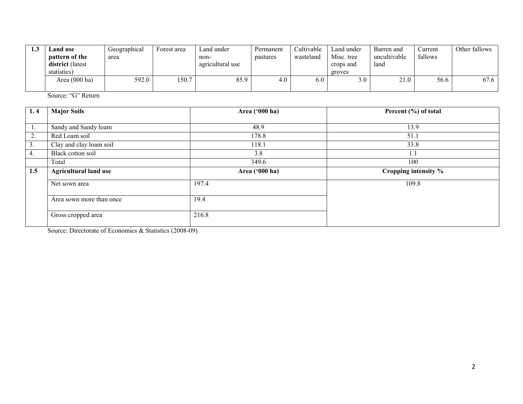| 1.J | Land use<br><b>pattern of the</b><br>district (latest<br>statistics) | Geographical<br>area | Forest area | Land under<br>non-<br>agricultural use | Permanent<br>pastures | Cultivable<br>wasteland | Land under<br>Misc. tree<br>crops and<br>groves | Barren and<br>uncultivable<br>land | ∠urrent<br>fallows | Other fallows |
|-----|----------------------------------------------------------------------|----------------------|-------------|----------------------------------------|-----------------------|-------------------------|-------------------------------------------------|------------------------------------|--------------------|---------------|
|     | Area $(000 \text{ ha})$                                              | 592.0                | 150.7       | 85.9                                   | 4.0                   | 6.0                     |                                                 | 21.0                               | 56.6               | 67.6 l        |

Source: "G" Return

| 1.4 | <b>Major Soils</b>           | Area ('000 ha) | Percent (%) of total |
|-----|------------------------------|----------------|----------------------|
|     |                              |                |                      |
| -1. | Sandy and Sandy loam         | 48.9           | 13.9                 |
| 2.  | Red Loam soil                | 178.8          | 51.1                 |
| 3.  | Clay and clay loam soil      | 118.1          | 33.8                 |
| 4.  | Black cotton soil            | 3.8            | 1.1                  |
|     | Total                        | 349.6          | 100                  |
| 1.5 | <b>Agricultural land use</b> | Area ('000 ha) | Cropping intensity % |
|     |                              |                |                      |
|     | Net sown area                | 197.4          | 109.8                |
|     | Area sown more than once     | 19.4           |                      |

Source: Directorate of Economics & Statistics (2008-09)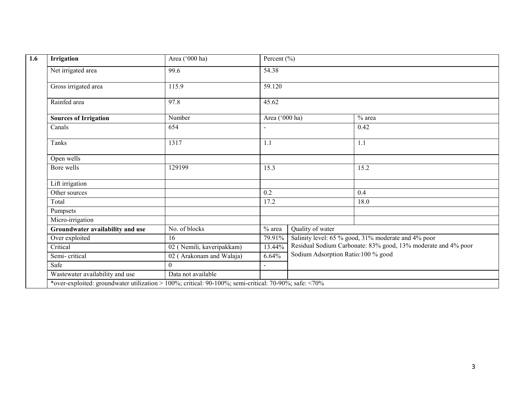| Irrigation                                                                                            | Area ('000 ha)            | Percent $(\% )$ |                  |                                                               |  |  |
|-------------------------------------------------------------------------------------------------------|---------------------------|-----------------|------------------|---------------------------------------------------------------|--|--|
| Net irrigated area                                                                                    | 99.6                      | 54.38           |                  |                                                               |  |  |
| Gross irrigated area                                                                                  | 115.9                     | 59.120          |                  |                                                               |  |  |
| Rainfed area                                                                                          | 97.8<br>45.62             |                 |                  |                                                               |  |  |
| <b>Sources of Irrigation</b>                                                                          | Number                    | Area ('000 ha)  |                  | $%$ area                                                      |  |  |
| Canals                                                                                                | 654                       |                 |                  | 0.42                                                          |  |  |
| 1317<br>Tanks<br>1.1                                                                                  |                           |                 | 1.1              |                                                               |  |  |
| Open wells                                                                                            |                           |                 |                  |                                                               |  |  |
| Bore wells                                                                                            | 129199                    | 15.3            |                  | 15.2                                                          |  |  |
| Lift irrigation                                                                                       |                           |                 |                  |                                                               |  |  |
| Other sources                                                                                         |                           | 0.2             |                  | 0.4                                                           |  |  |
| Total                                                                                                 |                           | 17.2            |                  | 18.0                                                          |  |  |
| Pumpsets                                                                                              |                           |                 |                  |                                                               |  |  |
| Micro-irrigation                                                                                      |                           |                 |                  |                                                               |  |  |
| Groundwater availability and use                                                                      | No. of blocks             | $%$ area        | Quality of water |                                                               |  |  |
| Over exploited                                                                                        | 16                        | 79.91%          |                  | Salinity level: 65 % good, 31% moderate and 4% poor           |  |  |
| Critical                                                                                              | 02 (Nemili, kaveripakkam) | 13.44%          |                  | Residual Sodium Carbonate: 83% good, 13% moderate and 4% poor |  |  |
| Semi-critical                                                                                         | 02 (Arakonam and Walaja)  | 6.64%           |                  | Sodium Adsorption Ratio:100 % good                            |  |  |
| Safe                                                                                                  | $\overline{0}$            | $\blacksquare$  |                  |                                                               |  |  |
| Wastewater availability and use                                                                       | Data not available        |                 |                  |                                                               |  |  |
| *over-exploited: groundwater utilization > 100%; critical: 90-100%; semi-critical: 70-90%; safe: <70% |                           |                 |                  |                                                               |  |  |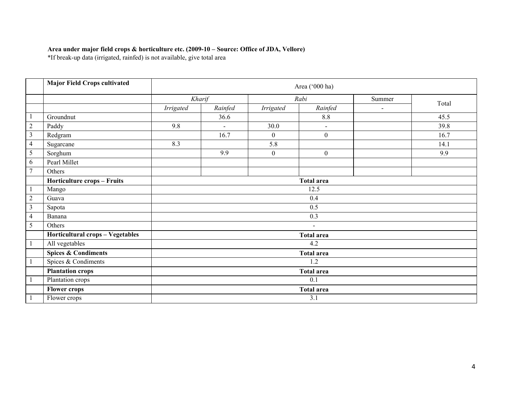#### Area under major field crops & horticulture etc. (2009-10 – Source: Office of JDA, Vellore)

\*If break-up data (irrigated, rainfed) is not available, give total area

|                | <b>Major Field Crops cultivated</b> |                   | Area ('000 ha) |                |                   |        |       |  |
|----------------|-------------------------------------|-------------------|----------------|----------------|-------------------|--------|-------|--|
|                |                                     | Kharif            |                |                | Rabi              | Summer |       |  |
|                |                                     | Irrigated         | Rainfed        | Irrigated      | Rainfed           |        | Total |  |
|                | Groundnut                           |                   | 36.6           |                | 8.8               |        | 45.5  |  |
| $\sqrt{2}$     | Paddy                               | 9.8               | $\blacksquare$ | 30.0           | $\blacksquare$    |        | 39.8  |  |
| 3              | Redgram                             |                   | 16.7           | $\overline{0}$ | $\overline{0}$    |        | 16.7  |  |
| 4              | Sugarcane                           | 8.3               |                | 5.8            |                   |        | 14.1  |  |
| 5              | Sorghum                             |                   | 9.9            | $\overline{0}$ | $\overline{0}$    |        | 9.9   |  |
| 6              | Pearl Millet                        |                   |                |                |                   |        |       |  |
| $\tau$         | Others                              |                   |                |                |                   |        |       |  |
|                | Horticulture crops - Fruits         | <b>Total area</b> |                |                |                   |        |       |  |
|                | Mango                               |                   | 12.5           |                |                   |        |       |  |
| $\overline{c}$ | Guava                               |                   |                |                | 0.4               |        |       |  |
| 3              | Sapota                              |                   |                |                | 0.5               |        |       |  |
| 4              | Banana                              |                   |                |                | 0.3               |        |       |  |
| 5              | Others                              |                   |                |                | $\blacksquare$    |        |       |  |
|                | Horticultural crops - Vegetables    |                   |                |                | <b>Total area</b> |        |       |  |
|                | All vegetables                      |                   |                |                | 4.2               |        |       |  |
|                | <b>Spices &amp; Condiments</b>      |                   |                |                | <b>Total area</b> |        |       |  |
|                | Spices & Condiments                 |                   |                |                | 1.2               |        |       |  |
|                | <b>Plantation crops</b>             |                   |                |                | <b>Total area</b> |        |       |  |
|                | Plantation crops                    |                   |                |                | 0.1               |        |       |  |
|                | <b>Flower crops</b>                 |                   |                |                | <b>Total area</b> |        |       |  |
|                | Flower crops                        |                   |                |                | 3.1               |        |       |  |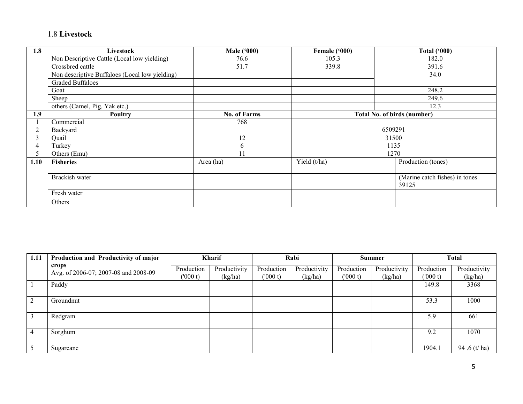#### 1.8 Livestock

| 1.8            | Livestock                                      | <b>Male</b> ('000)  | Female ('000) | <b>Total ('000)</b>                     |
|----------------|------------------------------------------------|---------------------|---------------|-----------------------------------------|
|                | Non Descriptive Cattle (Local low yielding)    | 76.6                | 105.3         | 182.0                                   |
|                | Crossbred cattle                               | 51.7                | 339.8         | 391.6                                   |
|                | Non descriptive Buffaloes (Local low yielding) |                     |               | 34.0                                    |
|                | <b>Graded Buffaloes</b>                        |                     |               |                                         |
|                | Goat                                           |                     |               | 248.2                                   |
|                | Sheep                                          |                     |               | 249.6                                   |
|                | others (Camel, Pig, Yak etc.)                  |                     |               | 12.3                                    |
| 1.9            | <b>Poultry</b>                                 | <b>No. of Farms</b> |               | <b>Total No. of birds (number)</b>      |
|                | Commercial                                     | 768                 |               |                                         |
| $\overline{2}$ | Backyard                                       |                     |               | 6509291                                 |
| 3              | Quail                                          | 12                  |               | 31500                                   |
| 4              | Turkey                                         | 6                   |               | 1135                                    |
| 5              | Others (Emu)                                   | 11                  |               | 1270                                    |
| 1.10           | <b>Fisheries</b>                               | Area (ha)           | Yield (t/ha)  | Production (tones)                      |
|                | Brackish water                                 |                     |               | (Marine catch fishes) in tones<br>39125 |
|                | Fresh water                                    |                     |               |                                         |
|                | Others                                         |                     |               |                                         |

| 1.11 | Production and Productivity of major          |                       | Kharif                  |                       | Rabi                    |                       | <b>Summer</b>           |                       | <b>Total</b>            |
|------|-----------------------------------------------|-----------------------|-------------------------|-----------------------|-------------------------|-----------------------|-------------------------|-----------------------|-------------------------|
|      | crops<br>Avg. of 2006-07; 2007-08 and 2008-09 | Production<br>(000 t) | Productivity<br>(kg/ha) | Production<br>(000 t) | Productivity<br>(kg/ha) | Production<br>(000 t) | Productivity<br>(kg/ha) | Production<br>(000 t) | Productivity<br>(kg/ha) |
|      | Paddy                                         |                       |                         |                       |                         |                       |                         | 149.8                 | 3368                    |
| 2    | Groundnut                                     |                       |                         |                       |                         |                       |                         | 53.3                  | 1000                    |
|      | Redgram                                       |                       |                         |                       |                         |                       |                         | 5.9                   | 661                     |
|      | Sorghum                                       |                       |                         |                       |                         |                       |                         | 9.2                   | 1070                    |
|      | Sugarcane                                     |                       |                         |                       |                         |                       |                         | 1904.1                | 94 .6 (t/ ha)           |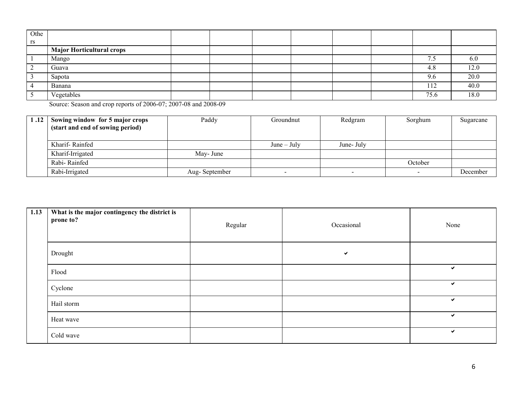| Othe |                                  |  |  |  |          |      |
|------|----------------------------------|--|--|--|----------|------|
| rs   |                                  |  |  |  |          |      |
|      | <b>Major Horticultural crops</b> |  |  |  |          |      |
|      | Mango                            |  |  |  | –<br>ن ر |      |
|      | Guava                            |  |  |  | 4.8      | 14.V |
|      | Sapota                           |  |  |  | 9.6      | 20.0 |
|      | Banana                           |  |  |  | 112      | 40.0 |
|      | Vegetables                       |  |  |  | 75.6     | 18.0 |

Source: Season and crop reports of 2006-07; 2007-08 and 2008-09

| 1.12 | Sowing window for 5 major crops  | Paddy         | Groundnut     | Redgram    | Sorghum | Sugarcane |
|------|----------------------------------|---------------|---------------|------------|---------|-----------|
|      | (start and end of sowing period) |               |               |            |         |           |
|      |                                  |               |               |            |         |           |
|      | Kharif-Rainfed                   |               | $June - July$ | June- July |         |           |
|      | Kharif-Irrigated                 | May-June      |               |            |         |           |
|      | Rabi-Rainfed                     |               |               |            | October |           |
|      | Rabi-Irrigated                   | Aug-September |               | -          | $\sim$  | December  |

| 1.13 | What is the major contingency the district is<br>prone to? | Regular | Occasional | None         |
|------|------------------------------------------------------------|---------|------------|--------------|
|      | Drought                                                    |         | ✓          |              |
|      | Flood                                                      |         |            | ✓            |
|      | Cyclone                                                    |         |            | $\checkmark$ |
|      | Hail storm                                                 |         |            | $\checkmark$ |
|      | Heat wave                                                  |         |            | $\checkmark$ |
|      | Cold wave                                                  |         |            | $\checkmark$ |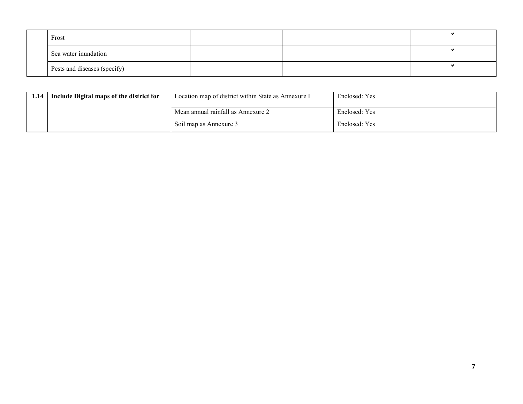| Frost                        |  |  |
|------------------------------|--|--|
| Sea water inundation         |  |  |
| Pests and diseases (specify) |  |  |

| 1.14 | Include Digital maps of the district for | Location map of district within State as Annexure I | Enclosed: Yes |
|------|------------------------------------------|-----------------------------------------------------|---------------|
|      |                                          | Mean annual rainfall as Annexure 2                  | Enclosed: Yes |
|      |                                          | Soil map as Annexure 3                              | Enclosed: Yes |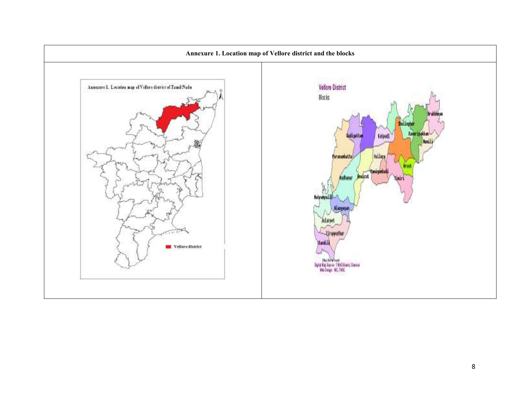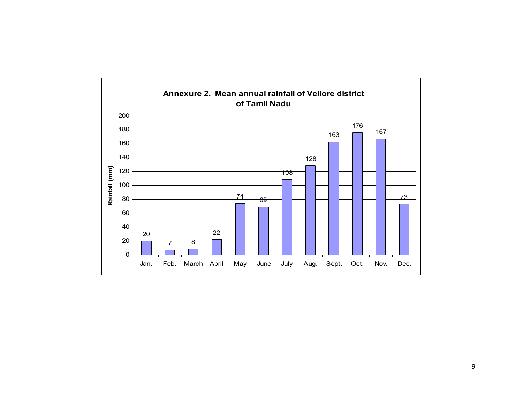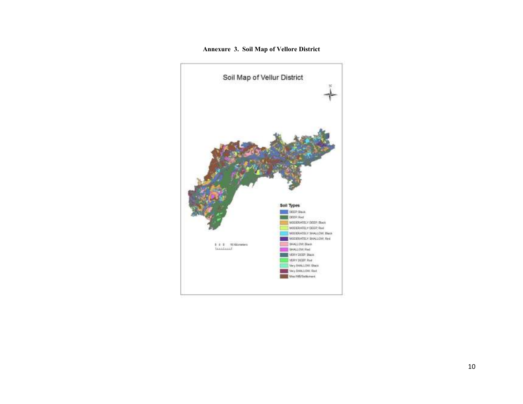#### Annexure 3. Soil Map of Vellore District

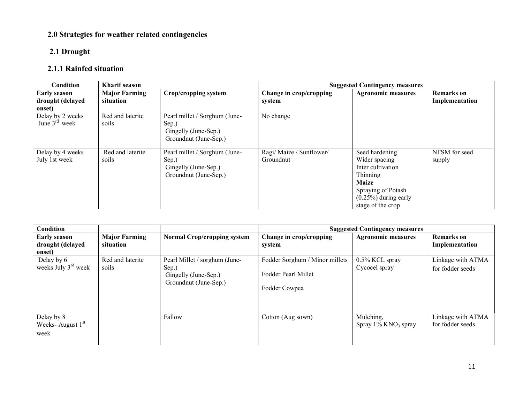### 2.0 Strategies for weather related contingencies

### 2.1 Drought

## 2.1.1 Rainfed situation

| Condition                                         | <b>Kharif</b> season              |                                                                                         | <b>Suggested Contingency measures</b> |                                                                                                                                                        |                                     |
|---------------------------------------------------|-----------------------------------|-----------------------------------------------------------------------------------------|---------------------------------------|--------------------------------------------------------------------------------------------------------------------------------------------------------|-------------------------------------|
| <b>Early season</b><br>drought (delayed<br>onset) | <b>Major Farming</b><br>situation | Crop/cropping system                                                                    | Change in crop/cropping<br>system     | <b>Agronomic measures</b>                                                                                                                              | <b>Remarks</b> on<br>Implementation |
| Delay by 2 weeks<br>June $3rd$ week               | Red and laterite<br>soils         | Pearl millet / Sorghum (June-<br>Sep.)<br>Gingelly (June-Sep.)<br>Groundnut (June-Sep.) | No change                             |                                                                                                                                                        |                                     |
| Delay by 4 weeks<br>July 1st week                 | Red and laterite<br>soils         | Pearl millet / Sorghum (June-<br>Sep.)<br>Gingelly (June-Sep.)<br>Groundnut (June-Sep.) | Ragi/ Maize / Sunflower/<br>Groundnut | Seed hardening<br>Wider spacing<br>Inter cultivation<br>Thinning<br><b>Maize</b><br>Spraying of Potash<br>$(0.25\%)$ during early<br>stage of the crop | NFSM for seed<br>supply             |

| Condition                                         |                                   |                                                                                         |                                                                        | <b>Suggested Contingency measures</b>           |                                       |
|---------------------------------------------------|-----------------------------------|-----------------------------------------------------------------------------------------|------------------------------------------------------------------------|-------------------------------------------------|---------------------------------------|
| <b>Early season</b><br>drought (delayed<br>onset) | <b>Major Farming</b><br>situation | <b>Normal Crop/cropping system</b>                                                      | Change in crop/cropping<br>system                                      | <b>Agronomic measures</b>                       | <b>Remarks</b> on<br>Implementation   |
| Delay by 6<br>weeks July $3rd$ week               | Red and laterite<br>soils         | Pearl Millet / sorghum (June-<br>Sep.)<br>Gingelly (June-Sep.)<br>Groundnut (June-Sep.) | Fodder Sorghum / Minor millets<br>Fodder Pearl Millet<br>Fodder Cowpea | $0.5\%$ KCL spray<br>Cycocel spray              | Linkage with ATMA<br>for fodder seeds |
| Delay by 8<br>Weeks-August 1st<br>week            |                                   | Fallow                                                                                  | Cotton (Aug sown)                                                      | Mulching,<br>Spray $1\%$ KNO <sub>3</sub> spray | Linkage with ATMA<br>for fodder seeds |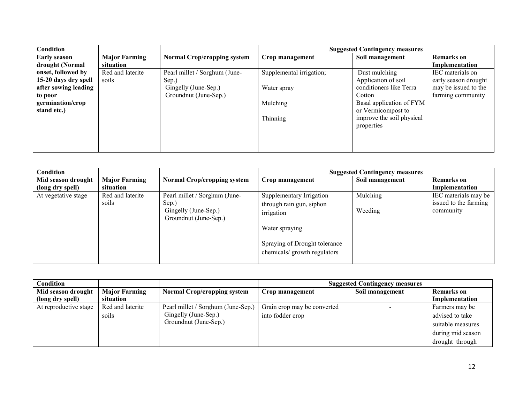| Condition            |                      |                                    | <b>Suggested Contingency measures</b> |                           |                      |
|----------------------|----------------------|------------------------------------|---------------------------------------|---------------------------|----------------------|
| <b>Early season</b>  | <b>Major Farming</b> | <b>Normal Crop/cropping system</b> | Crop management                       | Soil management           | <b>Remarks</b> on    |
| drought (Normal      | situation            |                                    |                                       |                           | Implementation       |
| onset, followed by   | Red and laterite     | Pearl millet / Sorghum (June-      | Supplemental irrigation;              | Dust mulching             | IEC materials on     |
| 15-20 days dry spell | soils                | Sep.)                              |                                       | Application of soil       | early season drought |
| after sowing leading |                      | Gingelly (June-Sep.)               | Water spray                           | conditioners like Terra   | may be issued to the |
| to poor              |                      | Groundnut (June-Sep.)              |                                       | Cotton                    | farming community    |
| germination/crop     |                      |                                    | Mulching                              | Basal application of FYM  |                      |
| stand etc.)          |                      |                                    |                                       | or Vermicompost to        |                      |
|                      |                      |                                    | Thinning                              | improve the soil physical |                      |
|                      |                      |                                    |                                       | properties                |                      |
|                      |                      |                                    |                                       |                           |                      |
|                      |                      |                                    |                                       |                           |                      |
|                      |                      |                                    |                                       |                           |                      |

| Condition           |                      |                                    | <b>Suggested Contingency measures</b> |                 |                       |
|---------------------|----------------------|------------------------------------|---------------------------------------|-----------------|-----------------------|
| Mid season drought  | <b>Major Farming</b> | <b>Normal Crop/cropping system</b> | Crop management                       | Soil management | <b>Remarks</b> on     |
| (long dry spell)    | situation            |                                    |                                       |                 | Implementation        |
| At vegetative stage | Red and laterite     | Pearl millet / Sorghum (June-      | Supplementary Irrigation              | Mulching        | IEC materials may be  |
|                     | soils                | Sep.)                              | through rain gun, siphon              |                 | issued to the farming |
|                     |                      | Gingelly (June-Sep.)               | irrigation                            | Weeding         | community             |
|                     |                      | Groundnut (June-Sep.)              |                                       |                 |                       |
|                     |                      |                                    | Water spraying                        |                 |                       |
|                     |                      |                                    |                                       |                 |                       |
|                     |                      |                                    | Spraying of Drought tolerance         |                 |                       |
|                     |                      |                                    | chemicals/ growth regulators          |                 |                       |
|                     |                      |                                    |                                       |                 |                       |

| Condition             |                      |                                    | <b>Suggested Contingency measures</b> |                 |                   |
|-----------------------|----------------------|------------------------------------|---------------------------------------|-----------------|-------------------|
| Mid season drought    | <b>Major Farming</b> | <b>Normal Crop/cropping system</b> | Crop management                       | Soil management | <b>Remarks</b> on |
| (long dry spell)      | situation            |                                    |                                       |                 | Implementation    |
| At reproductive stage | Red and laterite     | Pearl millet / Sorghum (June-Sep.) | Grain crop may be converted           |                 | Farmers may be    |
|                       | soils                | Gingelly (June-Sep.)               | into fodder crop                      |                 | advised to take   |
|                       |                      | Groundnut (June-Sep.)              |                                       |                 | suitable measures |
|                       |                      |                                    |                                       |                 | during mid season |
|                       |                      |                                    |                                       |                 | drought through   |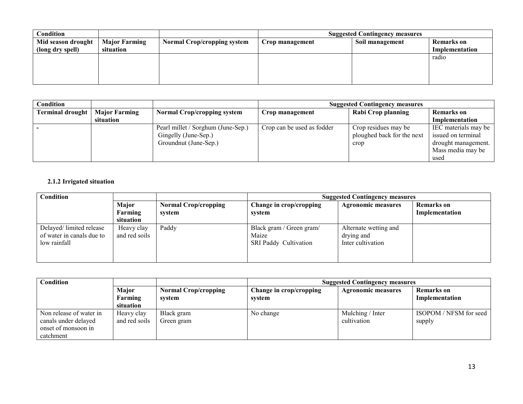| Condition          |                      |                                    | <b>Suggested Contingency measures</b> |                 |                |
|--------------------|----------------------|------------------------------------|---------------------------------------|-----------------|----------------|
| Mid season drought | <b>Major Farming</b> | <b>Normal Crop/cropping system</b> | Crop management                       | Soil management | Remarks on     |
| (long dry spell)   | situation            |                                    |                                       |                 | Implementation |
|                    |                      |                                    |                                       |                 | radio          |
|                    |                      |                                    |                                       |                 |                |
|                    |                      |                                    |                                       |                 |                |
|                    |                      |                                    |                                       |                 |                |

| Condition                        |           |                                    | <b>Suggested Contingency measures</b> |                            |                      |
|----------------------------------|-----------|------------------------------------|---------------------------------------|----------------------------|----------------------|
| Terminal drought   Major Farming |           | <b>Normal Crop/cropping system</b> | Crop management                       | Rabi Crop planning         | <b>Remarks</b> on    |
|                                  | situation |                                    |                                       |                            | Implementation       |
|                                  |           | Pearl millet / Sorghum (June-Sep.) | Crop can be used as fodder            | Crop residues may be       | IEC materials may be |
|                                  |           | Gingelly (June-Sep.)               |                                       | ploughed back for the next | issued on terminal   |
|                                  |           | Groundnut (June-Sep.)              |                                       | crop                       | drought management.  |
|                                  |           |                                    |                                       |                            | Mass media may be    |
|                                  |           |                                    |                                       |                            | used                 |

#### 2.1.2 Irrigated situation

| <b>Condition</b>                                                     |                               |                                       | <b>Suggested Contingency measures</b>                             |                                                          |                              |  |
|----------------------------------------------------------------------|-------------------------------|---------------------------------------|-------------------------------------------------------------------|----------------------------------------------------------|------------------------------|--|
|                                                                      | Major<br>Farming<br>situation | <b>Normal Crop/cropping</b><br>system | Change in crop/cropping<br>system                                 | <b>Agronomic measures</b>                                | Remarks on<br>Implementation |  |
| Delayed/limited release<br>of water in canals due to<br>low rainfall | Heavy clay<br>and red soils   | Paddy                                 | Black gram / Green gram/<br>Maize<br><b>SRI Paddy Cultivation</b> | Alternate wetting and<br>drying and<br>Inter cultivation |                              |  |

| <b>Condition</b>                            |                  |                                       | <b>Suggested Contingency measures</b> |                           |                                     |  |
|---------------------------------------------|------------------|---------------------------------------|---------------------------------------|---------------------------|-------------------------------------|--|
|                                             | Major<br>Farming | <b>Normal Crop/cropping</b><br>system | Change in crop/cropping<br>system     | <b>Agronomic measures</b> | <b>Remarks</b> on<br>Implementation |  |
|                                             | situation        |                                       |                                       |                           |                                     |  |
| Non release of water in                     | Heavy clay       | Black gram                            | No change                             | Mulching / Inter          | ISOPOM / NFSM for seed              |  |
| canals under delayed<br>onset of monsoon in | and red soils    | Green gram                            |                                       | cultivation               | supply                              |  |
| catchment                                   |                  |                                       |                                       |                           |                                     |  |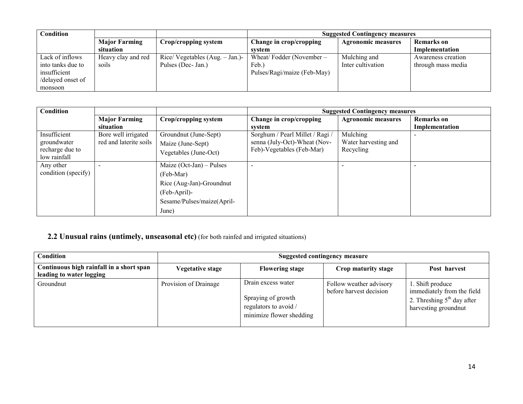| Condition         |                      |                                    | <b>Suggested Contingency measures</b> |                           |                    |
|-------------------|----------------------|------------------------------------|---------------------------------------|---------------------------|--------------------|
|                   | <b>Major Farming</b> | Crop/cropping system               | Change in crop/cropping               | <b>Agronomic measures</b> | <b>Remarks</b> on  |
|                   | situation            |                                    | system                                |                           | Implementation     |
| Lack of inflows   | Heavy clay and red   | Rice/ Vegetables $(Aug. – Jan.)$ - | Wheat/Fodder (November –              | Mulching and              | Awareness creation |
| into tanks due to | soils                | Pulses (Dec- Jan.)                 | Feb.                                  | Inter cultivation         | through mass media |
| insufficient      |                      |                                    | Pulses/Ragi/maize (Feb-May)           |                           |                    |
| /delayed onset of |                      |                                    |                                       |                           |                    |
| monsoon           |                      |                                    |                                       |                           |                    |

| Condition                                                      |                                               |                                                                                                                            | <b>Suggested Contingency measures</b>                                                        |                                               |                                     |
|----------------------------------------------------------------|-----------------------------------------------|----------------------------------------------------------------------------------------------------------------------------|----------------------------------------------------------------------------------------------|-----------------------------------------------|-------------------------------------|
|                                                                | <b>Major Farming</b><br>situation             | Crop/cropping system                                                                                                       | Change in crop/cropping<br>system                                                            | <b>Agronomic measures</b>                     | <b>Remarks</b> on<br>Implementation |
| Insufficient<br>groundwater<br>recharge due to<br>low rainfall | Bore well irrigated<br>red and laterite soils | Groundnut (June-Sept)<br>Maize (June-Sept)<br>Vegetables (June-Oct)                                                        | Sorghum / Pearl Millet / Ragi /<br>senna (July-Oct)-Wheat (Nov-<br>Feb)-Vegetables (Feb-Mar) | Mulching<br>Water harvesting and<br>Recycling |                                     |
| Any other<br>condition (specify)                               |                                               | Maize $(Oct-Jan) - Pulses$<br>(Feb-Mar)<br>Rice (Aug-Jan)-Groundnut<br>(Feb-April)-<br>Sesame/Pulses/maize(April-<br>June) | ۰                                                                                            |                                               |                                     |

#### **2.2 Unusual rains (untimely, unseasonal etc)** (for both rainfed and irrigated situations)

| <b>Condition</b>                                                     | Suggested contingency measure |                                                                                               |                                                    |                                                                                                        |  |
|----------------------------------------------------------------------|-------------------------------|-----------------------------------------------------------------------------------------------|----------------------------------------------------|--------------------------------------------------------------------------------------------------------|--|
| Continuous high rainfall in a short span<br>leading to water logging | <b>Vegetative stage</b>       | <b>Flowering stage</b>                                                                        | Crop maturity stage                                | Post harvest                                                                                           |  |
| Groundnut                                                            | Provision of Drainage         | Drain excess water<br>Spraying of growth<br>regulators to avoid /<br>minimize flower shedding | Follow weather advisory<br>before harvest decision | 1. Shift produce<br>immediately from the field<br>2. Threshing $5th$ day after<br>harvesting groundnut |  |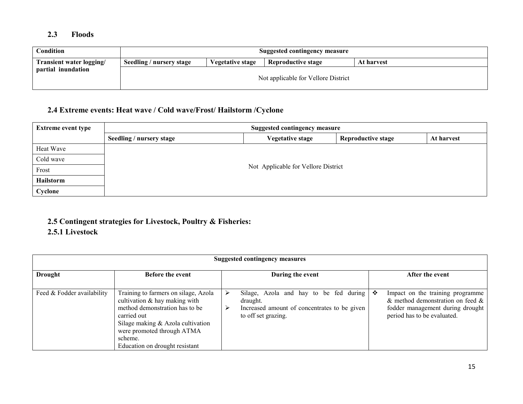#### 2.3 Floods

| Condition                | Suggested contingency measure                                                           |  |                                     |  |  |
|--------------------------|-----------------------------------------------------------------------------------------|--|-------------------------------------|--|--|
| Transient water logging/ | Seedling / nursery stage<br><b>Reproductive stage</b><br>Vegetative stage<br>At harvest |  |                                     |  |  |
| partial inundation       |                                                                                         |  | Not applicable for Vellore District |  |  |

#### 2.4 Extreme events: Heat wave / Cold wave/Frost/ Hailstorm /Cyclone

| <b>Extreme event type</b> | <b>Suggested contingency measure</b> |                                                                    |  |  |  |  |  |
|---------------------------|--------------------------------------|--------------------------------------------------------------------|--|--|--|--|--|
|                           | Seedling / nursery stage             | <b>Vegetative stage</b><br><b>Reproductive stage</b><br>At harvest |  |  |  |  |  |
| Heat Wave                 |                                      |                                                                    |  |  |  |  |  |
| Cold wave                 |                                      |                                                                    |  |  |  |  |  |
| Frost                     |                                      | Not Applicable for Vellore District                                |  |  |  |  |  |
| Hailstorm                 |                                      |                                                                    |  |  |  |  |  |
| Cyclone                   |                                      |                                                                    |  |  |  |  |  |

#### 2.5 Contingent strategies for Livestock, Poultry & Fisheries:

#### 2.5.1 Livestock

| <b>Suggested contingency measures</b> |                                                                                                                                                                                                                                           |  |                                                                                                                           |   |                                                                                                                                               |
|---------------------------------------|-------------------------------------------------------------------------------------------------------------------------------------------------------------------------------------------------------------------------------------------|--|---------------------------------------------------------------------------------------------------------------------------|---|-----------------------------------------------------------------------------------------------------------------------------------------------|
| <b>Drought</b>                        | <b>Before the event</b>                                                                                                                                                                                                                   |  | During the event                                                                                                          |   | After the event                                                                                                                               |
| Feed & Fodder availability            | Training to farmers on silage, Azola<br>cultivation $\&$ hay making with<br>method demonstration has to be<br>carried out<br>Silage making & Azola cultivation<br>were promoted through ATMA<br>scheme.<br>Education on drought resistant |  | Silage, Azola and hay to be fed during<br>draught.<br>Increased amount of concentrates to be given<br>to off set grazing. | ❖ | Impact on the training programme<br>$\&$ method demonstration on feed $\&$<br>fodder management during drought<br>period has to be evaluated. |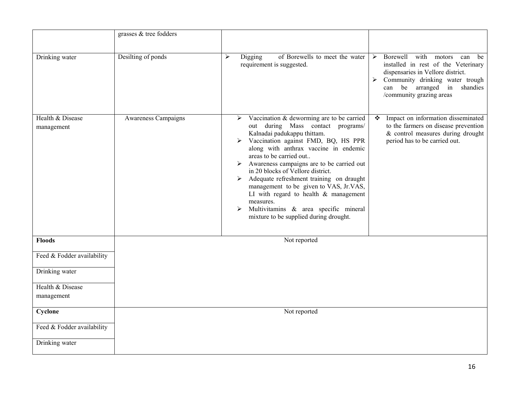|                                | grasses & tree fodders |                                                                                                                                                                                                                                                                                                                                                                                                                                                                                                                                                             |                                                                                                                                                                                                                                |
|--------------------------------|------------------------|-------------------------------------------------------------------------------------------------------------------------------------------------------------------------------------------------------------------------------------------------------------------------------------------------------------------------------------------------------------------------------------------------------------------------------------------------------------------------------------------------------------------------------------------------------------|--------------------------------------------------------------------------------------------------------------------------------------------------------------------------------------------------------------------------------|
| Drinking water                 | Desilting of ponds     | of Borewells to meet the water<br>$\blacktriangleright$<br>Digging<br>requirement is suggested.                                                                                                                                                                                                                                                                                                                                                                                                                                                             | Borewell<br>with<br>➤<br>motors<br>can<br>be<br>installed in rest of the Veterinary<br>dispensaries in Vellore district.<br>Community drinking water trough<br>➤<br>can be arranged in<br>shandies<br>/community grazing areas |
| Health & Disease<br>management | Awareness Campaigns    | Vaccination & deworming are to be carried<br>➤<br>out during Mass contact programs/<br>Kalnadai padukappu thittam.<br>Vaccination against FMD, BQ, HS PPR<br>along with anthrax vaccine in endemic<br>areas to be carried out<br>Awareness campaigns are to be carried out<br>in 20 blocks of Vellore district.<br>Adequate refreshment training on draught<br>➤<br>management to be given to VAS, Jr.VAS,<br>LI with regard to health $\&$ management<br>measures.<br>Multivitamins & area specific mineral<br>➤<br>mixture to be supplied during drought. | Impact on information disseminated<br>❖<br>to the farmers on disease prevention<br>& control measures during drought<br>period has to be carried out.                                                                          |
| <b>Floods</b>                  |                        | Not reported                                                                                                                                                                                                                                                                                                                                                                                                                                                                                                                                                |                                                                                                                                                                                                                                |
| Feed & Fodder availability     |                        |                                                                                                                                                                                                                                                                                                                                                                                                                                                                                                                                                             |                                                                                                                                                                                                                                |
| Drinking water                 |                        |                                                                                                                                                                                                                                                                                                                                                                                                                                                                                                                                                             |                                                                                                                                                                                                                                |
| Health & Disease<br>management |                        |                                                                                                                                                                                                                                                                                                                                                                                                                                                                                                                                                             |                                                                                                                                                                                                                                |
| Cyclone                        |                        | Not reported                                                                                                                                                                                                                                                                                                                                                                                                                                                                                                                                                |                                                                                                                                                                                                                                |
| Feed & Fodder availability     |                        |                                                                                                                                                                                                                                                                                                                                                                                                                                                                                                                                                             |                                                                                                                                                                                                                                |
| Drinking water                 |                        |                                                                                                                                                                                                                                                                                                                                                                                                                                                                                                                                                             |                                                                                                                                                                                                                                |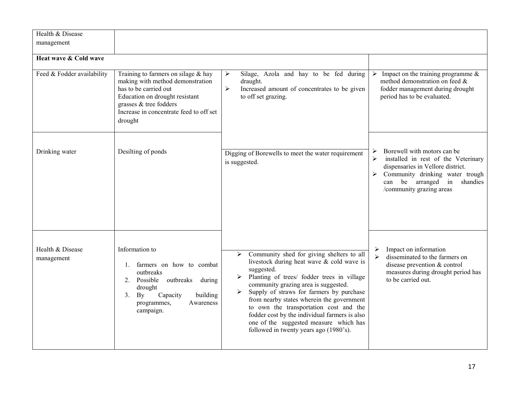| Health & Disease<br>management |                                                                                                                                                                                                                      |                                                                                                                                                                                                                                                                                                                                                                                                                                                                                                                           |                                                                                                                                                                                                                                             |
|--------------------------------|----------------------------------------------------------------------------------------------------------------------------------------------------------------------------------------------------------------------|---------------------------------------------------------------------------------------------------------------------------------------------------------------------------------------------------------------------------------------------------------------------------------------------------------------------------------------------------------------------------------------------------------------------------------------------------------------------------------------------------------------------------|---------------------------------------------------------------------------------------------------------------------------------------------------------------------------------------------------------------------------------------------|
| Heat wave & Cold wave          |                                                                                                                                                                                                                      |                                                                                                                                                                                                                                                                                                                                                                                                                                                                                                                           |                                                                                                                                                                                                                                             |
| Feed & Fodder availability     | Training to farmers on silage $&$ hay<br>making with method demonstration<br>has to be carried out<br>Education on drought resistant<br>grasses & tree fodders<br>Increase in concentrate feed to off set<br>drought | $\blacktriangleright$<br>Silage, Azola and hay to be fed during<br>draught.<br>Increased amount of concentrates to be given<br>$\blacktriangleright$<br>to off set grazing.                                                                                                                                                                                                                                                                                                                                               | Impact on the training programme $\&$<br>$\blacktriangleright$<br>method demonstration on feed &<br>fodder management during drought<br>period has to be evaluated.                                                                         |
| Drinking water                 | Desilting of ponds                                                                                                                                                                                                   | Digging of Borewells to meet the water requirement<br>is suggested.                                                                                                                                                                                                                                                                                                                                                                                                                                                       | Borewell with motors can be<br>➤<br>$\blacktriangleright$<br>installed in rest of the Veterinary<br>dispensaries in Vellore district.<br>Community drinking water trough<br>➤<br>can be arranged in<br>shandies<br>/community grazing areas |
| Health & Disease<br>management | Information to<br>1. farmers on how to combat<br>outbreaks<br>Possible<br>outbreaks<br>$2_{-}$<br>during<br>drought<br>Capacity<br>building<br>3 <sub>1</sub><br>By<br>programmes,<br>Awareness<br>campaign.         | Community shed for giving shelters to all<br>➤<br>livestock during heat wave & cold wave is<br>suggested.<br>Planting of trees/ fodder trees in village<br>$\blacktriangleright$<br>community grazing area is suggested.<br>Supply of straws for farmers by purchase<br>$\blacktriangleright$<br>from nearby states wherein the government<br>to own the transportation cost and the<br>fodder cost by the individual farmers is also<br>one of the suggested measure which has<br>followed in twenty years ago (1980's). | Impact on information<br>➤<br>disseminated to the farmers on<br>$\blacktriangleright$<br>disease prevention & control<br>measures during drought period has<br>to be carried out.                                                           |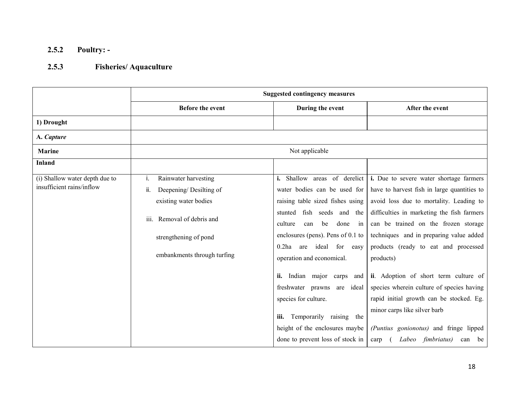## 2.5.2 Poultry: -

#### 2.5.3Fisheries/ Aquaculture

|                                                             | <b>Suggested contingency measures</b>                                                                                                                                         |                                                                                                                                                                                                                                                                                                                                                                                                                                                                                         |                                                                                                                                                                                                                                                                                                                                                                                                                                                                                                                                                                                      |  |
|-------------------------------------------------------------|-------------------------------------------------------------------------------------------------------------------------------------------------------------------------------|-----------------------------------------------------------------------------------------------------------------------------------------------------------------------------------------------------------------------------------------------------------------------------------------------------------------------------------------------------------------------------------------------------------------------------------------------------------------------------------------|--------------------------------------------------------------------------------------------------------------------------------------------------------------------------------------------------------------------------------------------------------------------------------------------------------------------------------------------------------------------------------------------------------------------------------------------------------------------------------------------------------------------------------------------------------------------------------------|--|
|                                                             | Before the event                                                                                                                                                              | During the event                                                                                                                                                                                                                                                                                                                                                                                                                                                                        | After the event                                                                                                                                                                                                                                                                                                                                                                                                                                                                                                                                                                      |  |
| 1) Drought                                                  |                                                                                                                                                                               |                                                                                                                                                                                                                                                                                                                                                                                                                                                                                         |                                                                                                                                                                                                                                                                                                                                                                                                                                                                                                                                                                                      |  |
| A. Capture                                                  |                                                                                                                                                                               |                                                                                                                                                                                                                                                                                                                                                                                                                                                                                         |                                                                                                                                                                                                                                                                                                                                                                                                                                                                                                                                                                                      |  |
| <b>Marine</b>                                               |                                                                                                                                                                               | Not applicable                                                                                                                                                                                                                                                                                                                                                                                                                                                                          |                                                                                                                                                                                                                                                                                                                                                                                                                                                                                                                                                                                      |  |
| <b>Inland</b>                                               |                                                                                                                                                                               |                                                                                                                                                                                                                                                                                                                                                                                                                                                                                         |                                                                                                                                                                                                                                                                                                                                                                                                                                                                                                                                                                                      |  |
| (i) Shallow water depth due to<br>insufficient rains/inflow | Rainwater harvesting<br>Τ.<br>Deepening/Desilting of<br>ii.<br>existing water bodies<br>Removal of debris and<br>iii.<br>strengthening of pond<br>embankments through turfing | i. Shallow areas of derelict<br>water bodies can be used for<br>raising table sized fishes using<br>fish seeds and the<br>stunted<br>done<br>culture<br>can<br>be<br>in<br>enclosures (pens). Pens of $0.1$ to<br>$0.2$ ha<br>ideal for<br>are<br>easy<br>operation and economical.<br>Indian major carps and<br>ii.<br>freshwater prawns<br>are ideal<br>species for culture.<br>Temporarily raising the<br>iii.<br>height of the enclosures maybe<br>done to prevent loss of stock in | <i>i.</i> Due to severe water shortage farmers<br>have to harvest fish in large quantities to<br>avoid loss due to mortality. Leading to<br>difficulties in marketing the fish farmers<br>can be trained on the frozen storage<br>techniques and in preparing value added<br>products (ready to eat and processed<br>products)<br>ii. Adoption of short term culture of<br>species wherein culture of species having<br>rapid initial growth can be stocked. Eg.<br>minor carps like silver barb<br>(Puntius gonionotus) and fringe lipped<br>Labeo fimbriatus)<br>be<br>carp<br>can |  |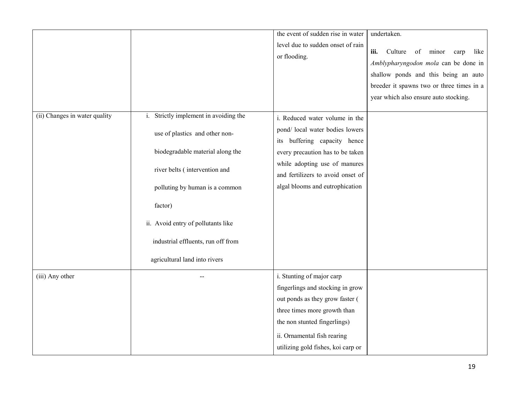|                               |                                                                                                                                                                                                                                                                                                        | the event of sudden rise in water<br>level due to sudden onset of rain<br>or flooding.                                                                                                                                                         | undertaken.<br>iii.<br>Culture<br>minor<br>like<br>of<br>carp<br>Amblypharyngodon mola can be done in<br>shallow ponds and this being an auto<br>breeder it spawns two or three times in a<br>year which also ensure auto stocking. |
|-------------------------------|--------------------------------------------------------------------------------------------------------------------------------------------------------------------------------------------------------------------------------------------------------------------------------------------------------|------------------------------------------------------------------------------------------------------------------------------------------------------------------------------------------------------------------------------------------------|-------------------------------------------------------------------------------------------------------------------------------------------------------------------------------------------------------------------------------------|
| (ii) Changes in water quality | i. Strictly implement in avoiding the<br>use of plastics and other non-<br>biodegradable material along the<br>river belts (intervention and<br>polluting by human is a common<br>factor)<br>ii. Avoid entry of pollutants like<br>industrial effluents, run off from<br>agricultural land into rivers | i. Reduced water volume in the<br>pond/ local water bodies lowers<br>its buffering capacity hence<br>every precaution has to be taken<br>while adopting use of manures<br>and fertilizers to avoid onset of<br>algal blooms and eutrophication |                                                                                                                                                                                                                                     |
| (iii) Any other               |                                                                                                                                                                                                                                                                                                        | i. Stunting of major carp<br>fingerlings and stocking in grow<br>out ponds as they grow faster (<br>three times more growth than<br>the non stunted fingerlings)<br>ii. Ornamental fish rearing<br>utilizing gold fishes, koi carp or          |                                                                                                                                                                                                                                     |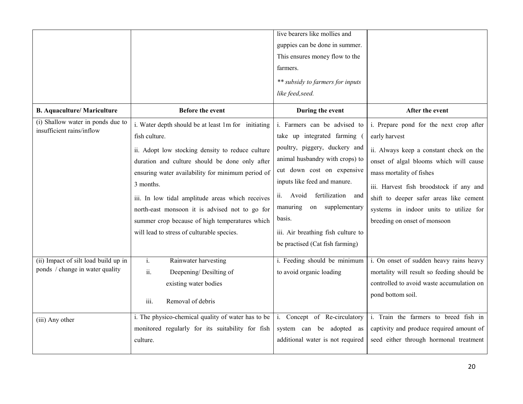|                                                                         |                                                                                                                                                                                                                                                                                                                                                                                                                                                    | live bearers like mollies and<br>guppies can be done in summer.<br>This ensures money flow to the<br>farmers.<br>** subsidy to farmers for inputs<br>like feed, seed.                                                                                                                                                                             |                                                                                                                                                                                                                                                                                                                                           |
|-------------------------------------------------------------------------|----------------------------------------------------------------------------------------------------------------------------------------------------------------------------------------------------------------------------------------------------------------------------------------------------------------------------------------------------------------------------------------------------------------------------------------------------|---------------------------------------------------------------------------------------------------------------------------------------------------------------------------------------------------------------------------------------------------------------------------------------------------------------------------------------------------|-------------------------------------------------------------------------------------------------------------------------------------------------------------------------------------------------------------------------------------------------------------------------------------------------------------------------------------------|
| <b>B.</b> Aquaculture/ Mariculture                                      | <b>Before the event</b>                                                                                                                                                                                                                                                                                                                                                                                                                            | During the event                                                                                                                                                                                                                                                                                                                                  | After the event                                                                                                                                                                                                                                                                                                                           |
| (i) Shallow water in ponds due to<br>insufficient rains/inflow          | i. Water depth should be at least 1m for initiating<br>fish culture.<br>ii. Adopt low stocking density to reduce culture<br>duration and culture should be done only after<br>ensuring water availability for minimum period of<br>3 months.<br>iii. In low tidal amplitude areas which receives<br>north-east monsoon it is advised not to go for<br>summer crop because of high temperatures which<br>will lead to stress of culturable species. | i. Farmers can be advised to<br>take up integrated farming<br>poultry, piggery, duckery and<br>animal husbandry with crops) to<br>cut down cost on expensive<br>inputs like feed and manure.<br>ii. Avoid fertilization<br>and<br>manuring<br>on supplementary<br>basis.<br>iii. Air breathing fish culture to<br>be practised (Cat fish farming) | i. Prepare pond for the next crop after<br>early harvest<br>ii. Always keep a constant check on the<br>onset of algal blooms which will cause<br>mass mortality of fishes<br>iii. Harvest fish broodstock if any and<br>shift to deeper safer areas like cement<br>systems in indoor units to utilize for<br>breeding on onset of monsoon |
| (ii) Impact of silt load build up in<br>ponds / change in water quality | Rainwater harvesting<br>$i$ .<br>ii.<br>Deepening/Desilting of<br>existing water bodies<br>Removal of debris<br>iii.                                                                                                                                                                                                                                                                                                                               | i. Feeding should be minimum<br>to avoid organic loading                                                                                                                                                                                                                                                                                          | i. On onset of sudden heavy rains heavy<br>mortality will result so feeding should be<br>controlled to avoid waste accumulation on<br>pond bottom soil.                                                                                                                                                                                   |
| (iii) Any other                                                         | i. The physico-chemical quality of water has to be<br>monitored regularly for its suitability for fish<br>culture.                                                                                                                                                                                                                                                                                                                                 | i. Concept of Re-circulatory<br>system can be adopted as<br>additional water is not required                                                                                                                                                                                                                                                      | i. Train the farmers to breed fish in<br>captivity and produce required amount of<br>seed either through hormonal treatment                                                                                                                                                                                                               |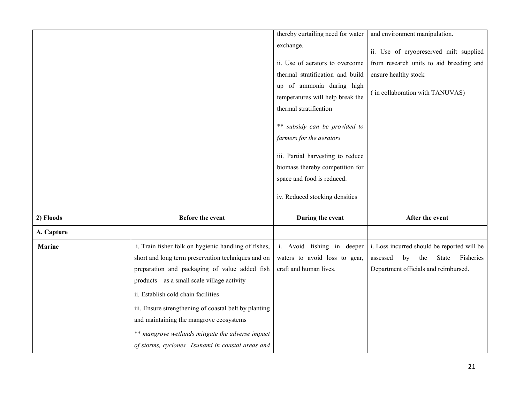|               |                                                       | thereby curtailing need for water | and environment manipulation.               |
|---------------|-------------------------------------------------------|-----------------------------------|---------------------------------------------|
|               |                                                       | exchange.                         |                                             |
|               |                                                       |                                   | ii. Use of cryopreserved milt supplied      |
|               |                                                       | ii. Use of aerators to overcome   | from research units to aid breeding and     |
|               |                                                       | thermal stratification and build  | ensure healthy stock                        |
|               |                                                       | up of ammonia during high         | (in collaboration with TANUVAS)             |
|               |                                                       | temperatures will help break the  |                                             |
|               |                                                       | thermal stratification            |                                             |
|               |                                                       | ** subsidy can be provided to     |                                             |
|               |                                                       | farmers for the aerators          |                                             |
|               |                                                       | iii. Partial harvesting to reduce |                                             |
|               |                                                       | biomass thereby competition for   |                                             |
|               |                                                       | space and food is reduced.        |                                             |
|               |                                                       | iv. Reduced stocking densities    |                                             |
| 2) Floods     | <b>Before the event</b>                               | During the event                  | After the event                             |
| A. Capture    |                                                       |                                   |                                             |
| <b>Marine</b> | i. Train fisher folk on hygienic handling of fishes,  | i. Avoid fishing in deeper        | i. Loss incurred should be reported will be |
|               | short and long term preservation techniques and on    | waters to avoid loss to gear,     | Fisheries<br>assessed<br>by<br>the<br>State |
|               | preparation and packaging of value added fish         | craft and human lives.            | Department officials and reimbursed.        |
|               | products – as a small scale village activity          |                                   |                                             |
|               | ii. Establish cold chain facilities                   |                                   |                                             |
|               | iii. Ensure strengthening of coastal belt by planting |                                   |                                             |
|               | and maintaining the mangrove ecosystems               |                                   |                                             |
|               | ** mangrove wetlands mitigate the adverse impact      |                                   |                                             |
|               | of storms, cyclones Tsunami in coastal areas and      |                                   |                                             |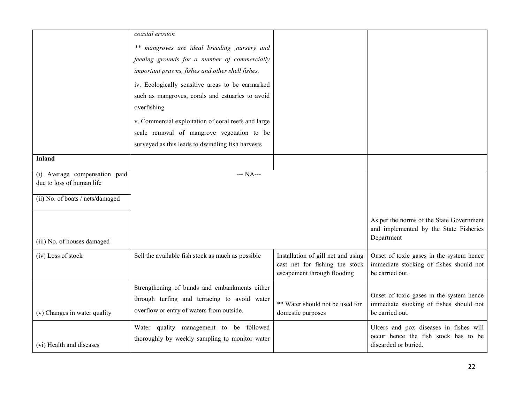|                                  | coastal erosion                                     |                                    |                                          |
|----------------------------------|-----------------------------------------------------|------------------------------------|------------------------------------------|
|                                  |                                                     |                                    |                                          |
|                                  | ** mangroves are ideal breeding , nursery and       |                                    |                                          |
|                                  | feeding grounds for a number of commercially        |                                    |                                          |
|                                  | important prawns, fishes and other shell fishes.    |                                    |                                          |
|                                  | iv. Ecologically sensitive areas to be earmarked    |                                    |                                          |
|                                  | such as mangroves, corals and estuaries to avoid    |                                    |                                          |
|                                  | overfishing                                         |                                    |                                          |
|                                  | v. Commercial exploitation of coral reefs and large |                                    |                                          |
|                                  | scale removal of mangrove vegetation to be          |                                    |                                          |
|                                  | surveyed as this leads to dwindling fish harvests   |                                    |                                          |
| <b>Inland</b>                    |                                                     |                                    |                                          |
|                                  |                                                     |                                    |                                          |
| (i) Average compensation paid    | $--- NA---$                                         |                                    |                                          |
| due to loss of human life        |                                                     |                                    |                                          |
| (ii) No. of boats / nets/damaged |                                                     |                                    |                                          |
|                                  |                                                     |                                    |                                          |
|                                  |                                                     |                                    | As per the norms of the State Government |
|                                  |                                                     |                                    | and implemented by the State Fisheries   |
| (iii) No. of houses damaged      |                                                     |                                    | Department                               |
| (iv) Loss of stock               | Sell the available fish stock as much as possible   | Installation of gill net and using | Onset of toxic gases in the system hence |
|                                  |                                                     | cast net for fishing the stock     | immediate stocking of fishes should not  |
|                                  |                                                     | escapement through flooding        | be carried out.                          |
|                                  | Strengthening of bunds and embankments either       |                                    |                                          |
|                                  | through turfing and terracing to avoid water        |                                    | Onset of toxic gases in the system hence |
|                                  | overflow or entry of waters from outside.           | ** Water should not be used for    | immediate stocking of fishes should not  |
| (v) Changes in water quality     |                                                     | domestic purposes                  | be carried out.                          |
|                                  | Water quality management to be followed             |                                    | Ulcers and pox diseases in fishes will   |
|                                  | thoroughly by weekly sampling to monitor water      |                                    | occur hence the fish stock has to be     |
| (vi) Health and diseases         |                                                     |                                    | discarded or buried.                     |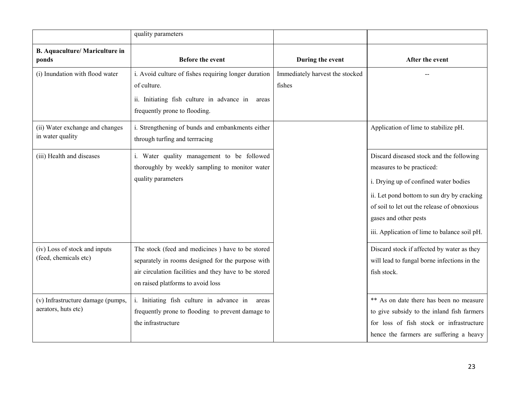|                                                          | quality parameters                                                                                                                                                                                  |                                           |                                                                                                                                                                                                                                                                                      |
|----------------------------------------------------------|-----------------------------------------------------------------------------------------------------------------------------------------------------------------------------------------------------|-------------------------------------------|--------------------------------------------------------------------------------------------------------------------------------------------------------------------------------------------------------------------------------------------------------------------------------------|
| <b>B.</b> Aquaculture/ Mariculture in<br>ponds           | <b>Before the event</b>                                                                                                                                                                             | During the event                          | After the event                                                                                                                                                                                                                                                                      |
| (i) Inundation with flood water                          | i. Avoid culture of fishes requiring longer duration<br>of culture.<br>ii. Initiating fish culture in advance in<br>areas<br>frequently prone to flooding.                                          | Immediately harvest the stocked<br>fishes |                                                                                                                                                                                                                                                                                      |
| (ii) Water exchange and changes<br>in water quality      | i. Strengthening of bunds and embankments either<br>through turfing and terrracing                                                                                                                  |                                           | Application of lime to stabilize pH.                                                                                                                                                                                                                                                 |
| (iii) Health and diseases                                | i. Water quality management to be followed<br>thoroughly by weekly sampling to monitor water<br>quality parameters                                                                                  |                                           | Discard diseased stock and the following<br>measures to be practiced:<br>i. Drying up of confined water bodies<br>ii. Let pond bottom to sun dry by cracking<br>of soil to let out the release of obnoxious<br>gases and other pests<br>iii. Application of lime to balance soil pH. |
| (iv) Loss of stock and inputs<br>(feed, chemicals etc)   | The stock (feed and medicines) have to be stored<br>separately in rooms designed for the purpose with<br>air circulation facilities and they have to be stored<br>on raised platforms to avoid loss |                                           | Discard stock if affected by water as they<br>will lead to fungal borne infections in the<br>fish stock.                                                                                                                                                                             |
| (v) Infrastructure damage (pumps,<br>aerators, huts etc) | i. Initiating fish culture in advance in<br>areas<br>frequently prone to flooding to prevent damage to<br>the infrastructure                                                                        |                                           | ** As on date there has been no measure<br>to give subsidy to the inland fish farmers<br>for loss of fish stock or infrastructure<br>hence the farmers are suffering a heavy                                                                                                         |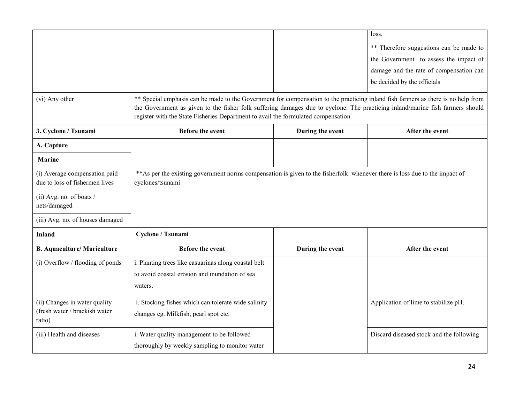|                                                                 |                                                                                                                                                                                                                                                                                                                                                         |                  | loss.                                    |
|-----------------------------------------------------------------|---------------------------------------------------------------------------------------------------------------------------------------------------------------------------------------------------------------------------------------------------------------------------------------------------------------------------------------------------------|------------------|------------------------------------------|
|                                                                 |                                                                                                                                                                                                                                                                                                                                                         |                  | ** Therefore suggestions can be made to  |
|                                                                 |                                                                                                                                                                                                                                                                                                                                                         |                  | the Government to assess the impact of   |
|                                                                 |                                                                                                                                                                                                                                                                                                                                                         |                  | damage and the rate of compensation can  |
|                                                                 |                                                                                                                                                                                                                                                                                                                                                         |                  | be decided by the officials              |
| (vi) Any other                                                  | ** Special emphasis can be made to the Government for compensation to the practicing inland fish farmers as there is no help from<br>the Government as given to the fisher folk suffering damages due to cyclone. The practicing inland/marine fish farmers should<br>register with the State Fisheries Department to avail the formulated compensation |                  |                                          |
| 3. Cyclone / Tsunami                                            | <b>Before the event</b>                                                                                                                                                                                                                                                                                                                                 | During the event | After the event                          |
| A. Capture                                                      |                                                                                                                                                                                                                                                                                                                                                         |                  |                                          |
| <b>Marine</b>                                                   |                                                                                                                                                                                                                                                                                                                                                         |                  |                                          |
| (i) Average compensation paid<br>due to loss of fishermen lives | ** As per the existing government norms compensation is given to the fisherfolk whenever there is loss due to the impact of<br>cyclones/tsunami                                                                                                                                                                                                         |                  |                                          |
| (ii) Avg. no. of boats /<br>nets/damaged                        |                                                                                                                                                                                                                                                                                                                                                         |                  |                                          |
| (iii) Avg. no. of houses damaged                                |                                                                                                                                                                                                                                                                                                                                                         |                  |                                          |
| <b>Inland</b>                                                   | Cyclone / Tsunami                                                                                                                                                                                                                                                                                                                                       |                  |                                          |
| <b>B.</b> Aquaculture/ Mariculture                              | Before the event                                                                                                                                                                                                                                                                                                                                        | During the event | After the event                          |
| (i) Overflow / flooding of ponds                                | i. Planting trees like casuarinas along coastal belt                                                                                                                                                                                                                                                                                                    |                  |                                          |
|                                                                 | to avoid coastal erosion and inundation of sea                                                                                                                                                                                                                                                                                                          |                  |                                          |
|                                                                 | waters.                                                                                                                                                                                                                                                                                                                                                 |                  |                                          |
| (ii) Changes in water quality                                   | i. Stocking fishes which can tolerate wide salinity                                                                                                                                                                                                                                                                                                     |                  | Application of lime to stabilize pH.     |
| (fresh water / brackish water)<br>ratio)                        | changes eg. Milkfish, pearl spot etc.                                                                                                                                                                                                                                                                                                                   |                  |                                          |
| (iii) Health and diseases                                       | i. Water quality management to be followed                                                                                                                                                                                                                                                                                                              |                  | Discard diseased stock and the following |
|                                                                 | thoroughly by weekly sampling to monitor water                                                                                                                                                                                                                                                                                                          |                  |                                          |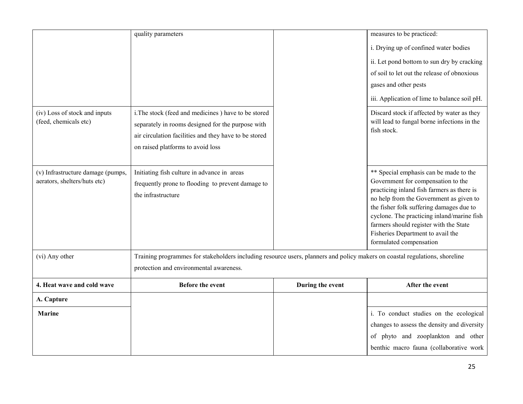|                                                                   | quality parameters                                                                                                          |                  | measures to be practiced:                                                           |  |
|-------------------------------------------------------------------|-----------------------------------------------------------------------------------------------------------------------------|------------------|-------------------------------------------------------------------------------------|--|
|                                                                   |                                                                                                                             |                  | i. Drying up of confined water bodies                                               |  |
|                                                                   |                                                                                                                             |                  | ii. Let pond bottom to sun dry by cracking                                          |  |
|                                                                   |                                                                                                                             |                  | of soil to let out the release of obnoxious                                         |  |
|                                                                   |                                                                                                                             |                  | gases and other pests                                                               |  |
|                                                                   |                                                                                                                             |                  | iii. Application of lime to balance soil pH.                                        |  |
| (iv) Loss of stock and inputs                                     | i. The stock (feed and medicines) have to be stored                                                                         |                  | Discard stock if affected by water as they                                          |  |
| (feed, chemicals etc)                                             | separately in rooms designed for the purpose with                                                                           |                  | will lead to fungal borne infections in the<br>fish stock.                          |  |
|                                                                   | air circulation facilities and they have to be stored                                                                       |                  |                                                                                     |  |
|                                                                   | on raised platforms to avoid loss                                                                                           |                  |                                                                                     |  |
|                                                                   |                                                                                                                             |                  |                                                                                     |  |
| (v) Infrastructure damage (pumps,<br>aerators, shelters/huts etc) | Initiating fish culture in advance in areas                                                                                 |                  | ** Special emphasis can be made to the<br>Government for compensation to the        |  |
|                                                                   | frequently prone to flooding to prevent damage to<br>the infrastructure                                                     |                  | practicing inland fish farmers as there is                                          |  |
|                                                                   |                                                                                                                             |                  | no help from the Government as given to<br>the fisher folk suffering damages due to |  |
|                                                                   |                                                                                                                             |                  | cyclone. The practicing inland/marine fish                                          |  |
|                                                                   |                                                                                                                             |                  | farmers should register with the State                                              |  |
|                                                                   |                                                                                                                             |                  | Fisheries Department to avail the<br>formulated compensation                        |  |
| (vi) Any other                                                    | Training programmes for stakeholders including resource users, planners and policy makers on coastal regulations, shoreline |                  |                                                                                     |  |
|                                                                   | protection and environmental awareness.                                                                                     |                  |                                                                                     |  |
| 4. Heat wave and cold wave                                        | <b>Before the event</b>                                                                                                     | During the event | After the event                                                                     |  |
| A. Capture                                                        |                                                                                                                             |                  |                                                                                     |  |
| <b>Marine</b>                                                     |                                                                                                                             |                  | i. To conduct studies on the ecological                                             |  |
|                                                                   |                                                                                                                             |                  | changes to assess the density and diversity                                         |  |
|                                                                   |                                                                                                                             |                  | of phyto and zooplankton and other                                                  |  |
|                                                                   |                                                                                                                             |                  | benthic macro fauna (collaborative work                                             |  |